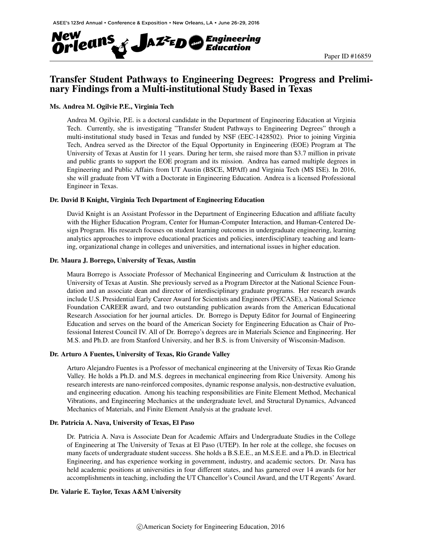

# Transfer Student Pathways to Engineering Degrees: Progress and Preliminary Findings from a Multi-institutional Study Based in Texas

### Ms. Andrea M. Ogilvie P.E., Virginia Tech

Andrea M. Ogilvie, P.E. is a doctoral candidate in the Department of Engineering Education at Virginia Tech. Currently, she is investigating "Transfer Student Pathways to Engineering Degrees" through a multi-institutional study based in Texas and funded by NSF (EEC-1428502). Prior to joining Virginia Tech, Andrea served as the Director of the Equal Opportunity in Engineering (EOE) Program at The University of Texas at Austin for 11 years. During her term, she raised more than \$3.7 million in private and public grants to support the EOE program and its mission. Andrea has earned multiple degrees in Engineering and Public Affairs from UT Austin (BSCE, MPAff) and Virginia Tech (MS ISE). In 2016, she will graduate from VT with a Doctorate in Engineering Education. Andrea is a licensed Professional Engineer in Texas.

### Dr. David B Knight, Virginia Tech Department of Engineering Education

David Knight is an Assistant Professor in the Department of Engineering Education and affiliate faculty with the Higher Education Program, Center for Human-Computer Interaction, and Human-Centered Design Program. His research focuses on student learning outcomes in undergraduate engineering, learning analytics approaches to improve educational practices and policies, interdisciplinary teaching and learning, organizational change in colleges and universities, and international issues in higher education.

#### Dr. Maura J. Borrego, University of Texas, Austin

Maura Borrego is Associate Professor of Mechanical Engineering and Curriculum & Instruction at the University of Texas at Austin. She previously served as a Program Director at the National Science Foundation and an associate dean and director of interdisciplinary graduate programs. Her research awards include U.S. Presidential Early Career Award for Scientists and Engineers (PECASE), a National Science Foundation CAREER award, and two outstanding publication awards from the American Educational Research Association for her journal articles. Dr. Borrego is Deputy Editor for Journal of Engineering Education and serves on the board of the American Society for Engineering Education as Chair of Professional Interest Council IV. All of Dr. Borrego's degrees are in Materials Science and Engineering. Her M.S. and Ph.D. are from Stanford University, and her B.S. is from University of Wisconsin-Madison.

#### Dr. Arturo A Fuentes, University of Texas, Rio Grande Valley

Arturo Alejandro Fuentes is a Professor of mechanical engineering at the University of Texas Rio Grande Valley. He holds a Ph.D. and M.S. degrees in mechanical engineering from Rice University. Among his research interests are nano-reinforced composites, dynamic response analysis, non-destructive evaluation, and engineering education. Among his teaching responsibilities are Finite Element Method, Mechanical Vibrations, and Engineering Mechanics at the undergraduate level, and Structural Dynamics, Advanced Mechanics of Materials, and Finite Element Analysis at the graduate level.

#### Dr. Patricia A. Nava, University of Texas, El Paso

Dr. Patricia A. Nava is Associate Dean for Academic Affairs and Undergraduate Studies in the College of Engineering at The University of Texas at El Paso (UTEP). In her role at the college, she focuses on many facets of undergraduate student success. She holds a B.S.E.E., an M.S.E.E. and a Ph.D. in Electrical Engineering, and has experience working in government, industry, and academic sectors. Dr. Nava has held academic positions at universities in four different states, and has garnered over 14 awards for her accomplishments in teaching, including the UT Chancellor's Council Award, and the UT Regents' Award.

### Dr. Valarie E. Taylor, Texas A&M University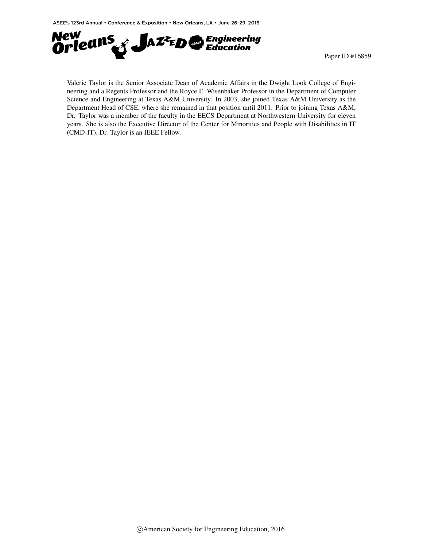

Valerie Taylor is the Senior Associate Dean of Academic Affairs in the Dwight Look College of Engineering and a Regents Professor and the Royce E. Wisenbaker Professor in the Department of Computer Science and Engineering at Texas A&M University. In 2003, she joined Texas A&M University as the Department Head of CSE, where she remained in that position until 2011. Prior to joining Texas A&M, Dr. Taylor was a member of the faculty in the EECS Department at Northwestern University for eleven years. She is also the Executive Director of the Center for Minorities and People with Disabilities in IT (CMD-IT). Dr. Taylor is an IEEE Fellow.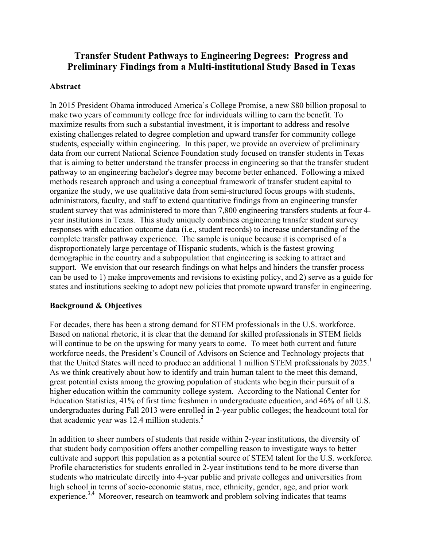# **Transfer Student Pathways to Engineering Degrees: Progress and Preliminary Findings from a Multi-institutional Study Based in Texas**

### **Abstract**

In 2015 President Obama introduced America's College Promise, a new \$80 billion proposal to make two years of community college free for individuals willing to earn the benefit. To maximize results from such a substantial investment, it is important to address and resolve existing challenges related to degree completion and upward transfer for community college students, especially within engineering. In this paper, we provide an overview of preliminary data from our current National Science Foundation study focused on transfer students in Texas that is aiming to better understand the transfer process in engineering so that the transfer student pathway to an engineering bachelor's degree may become better enhanced. Following a mixed methods research approach and using a conceptual framework of transfer student capital to organize the study, we use qualitative data from semi-structured focus groups with students, administrators, faculty, and staff to extend quantitative findings from an engineering transfer student survey that was administered to more than 7,800 engineering transfers students at four 4 year institutions in Texas. This study uniquely combines engineering transfer student survey responses with education outcome data (i.e., student records) to increase understanding of the complete transfer pathway experience. The sample is unique because it is comprised of a disproportionately large percentage of Hispanic students, which is the fastest growing demographic in the country and a subpopulation that engineering is seeking to attract and support. We envision that our research findings on what helps and hinders the transfer process can be used to 1) make improvements and revisions to existing policy, and 2) serve as a guide for states and institutions seeking to adopt new policies that promote upward transfer in engineering.

# **Background & Objectives**

For decades, there has been a strong demand for STEM professionals in the U.S. workforce. Based on national rhetoric, it is clear that the demand for skilled professionals in STEM fields will continue to be on the upswing for many years to come. To meet both current and future workforce needs, the President's Council of Advisors on Science and Technology projects that that the United States will need to produce an additional 1 million STEM professionals by 2025.<sup>1</sup> As we think creatively about how to identify and train human talent to the meet this demand, great potential exists among the growing population of students who begin their pursuit of a higher education within the community college system. According to the National Center for Education Statistics, 41% of first time freshmen in undergraduate education, and 46% of all U.S. undergraduates during Fall 2013 were enrolled in 2-year public colleges; the headcount total for that academic year was 12.4 million students. $2$ 

In addition to sheer numbers of students that reside within 2-year institutions, the diversity of that student body composition offers another compelling reason to investigate ways to better cultivate and support this population as a potential source of STEM talent for the U.S. workforce. Profile characteristics for students enrolled in 2-year institutions tend to be more diverse than students who matriculate directly into 4-year public and private colleges and universities from high school in terms of socio-economic status, race, ethnicity, gender, age, and prior work experience.<sup>3,4</sup> Moreover, research on teamwork and problem solving indicates that teams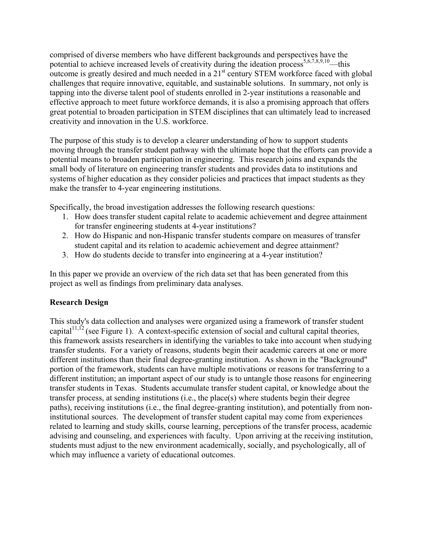comprised of diverse members who have different backgrounds and perspectives have the potential to achieve increased levels of creativity during the ideation process<sup>5,6,7,8,9,10</sup>—this outcome is greatly desired and much needed in a  $21<sup>st</sup>$  century STEM workforce faced with global challenges that require innovative, equitable, and sustainable solutions. In summary, not only is tapping into the diverse talent pool of students enrolled in 2-year institutions a reasonable and effective approach to meet future workforce demands, it is also a promising approach that offers great potential to broaden participation in STEM disciplines that can ultimately lead to increased creativity and innovation in the U.S. workforce.

The purpose of this study is to develop a clearer understanding of how to support students moving through the transfer student pathway with the ultimate hope that the efforts can provide a potential means to broaden participation in engineering. This research joins and expands the small body of literature on engineering transfer students and provides data to institutions and systems of higher education as they consider policies and practices that impact students as they make the transfer to 4-year engineering institutions.

Specifically, the broad investigation addresses the following research questions:

- 1. How does transfer student capital relate to academic achievement and degree attainment for transfer engineering students at 4-year institutions?
- 2. How do Hispanic and non-Hispanic transfer students compare on measures of transfer student capital and its relation to academic achievement and degree attainment?
- 3. How do students decide to transfer into engineering at a 4-year institution?

In this paper we provide an overview of the rich data set that has been generated from this project as well as findings from preliminary data analyses.

# **Research Design**

This study's data collection and analyses were organized using a framework of transfer student capital<sup>11,12</sup> (see Figure 1). A context-specific extension of social and cultural capital theories, this framework assists researchers in identifying the variables to take into account when studying transfer students. For a variety of reasons, students begin their academic careers at one or more different institutions than their final degree-granting institution. As shown in the "Background" portion of the framework, students can have multiple motivations or reasons for transferring to a different institution; an important aspect of our study is to untangle those reasons for engineering transfer students in Texas. Students accumulate transfer student capital, or knowledge about the transfer process, at sending institutions (i.e., the place(s) where students begin their degree paths), receiving institutions (i.e., the final degree-granting institution), and potentially from noninstitutional sources. The development of transfer student capital may come from experiences related to learning and study skills, course learning, perceptions of the transfer process, academic advising and counseling, and experiences with faculty. Upon arriving at the receiving institution, students must adjust to the new environment academically, socially, and psychologically, all of which may influence a variety of educational outcomes.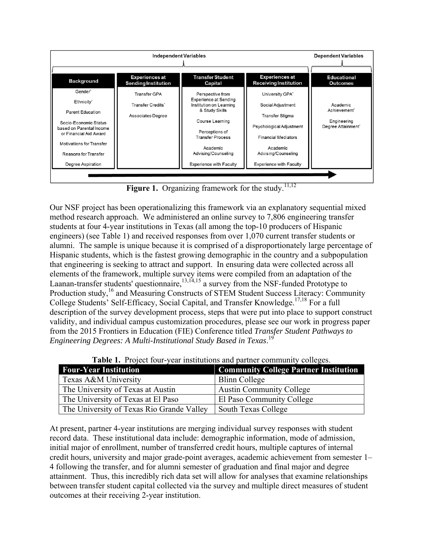

Figure 1. Organizing framework for the study.<sup>11,12</sup>

Our NSF project has been operationalizing this framework via an explanatory sequential mixed method research approach. We administered an online survey to 7,806 engineering transfer students at four 4-year institutions in Texas (all among the top-10 producers of Hispanic engineers) (see Table 1) and received responses from over 1,070 current transfer students or alumni. The sample is unique because it is comprised of a disproportionately large percentage of Hispanic students, which is the fastest growing demographic in the country and a subpopulation that engineering is seeking to attract and support. In ensuring data were collected across all elements of the framework, multiple survey items were compiled from an adaptation of the Laanan-transfer students' questionnaire,  $^{13,14,15}$  a survey from the NSF-funded Prototype to Production study,<sup>16</sup> and Measuring Constructs of STEM Student Success Literacy: Community College Students' Self-Efficacy, Social Capital, and Transfer Knowledge.<sup>17,18</sup> For a full description of the survey development process, steps that were put into place to support construct validity, and individual campus customization procedures, please see our work in progress paper from the 2015 Frontiers in Education (FIE) Conference titled *Transfer Student Pathways to Engineering Degrees: A Multi-Institutional Study Based in Texas*. 19

| <b>Table 1.</b> Troper four-year institutions and partier community concess. |                                              |  |
|------------------------------------------------------------------------------|----------------------------------------------|--|
| <b>Four-Year Institution</b>                                                 | <b>Community College Partner Institution</b> |  |
| Texas A&M University                                                         | Blinn College                                |  |
| The University of Texas at Austin                                            | <b>Austin Community College</b>              |  |
| The University of Texas at El Paso                                           | El Paso Community College                    |  |
| The University of Texas Rio Grande Valley                                    | <b>South Texas College</b>                   |  |

**Table 1.** Project four-year institutions and partner community colleges.

At present, partner 4-year institutions are merging individual survey responses with student record data. These institutional data include: demographic information, mode of admission, initial major of enrollment, number of transferred credit hours, multiple captures of internal credit hours, university and major grade-point averages, academic achievement from semester 1– 4 following the transfer, and for alumni semester of graduation and final major and degree attainment. Thus, this incredibly rich data set will allow for analyses that examine relationships between transfer student capital collected via the survey and multiple direct measures of student outcomes at their receiving 2-year institution.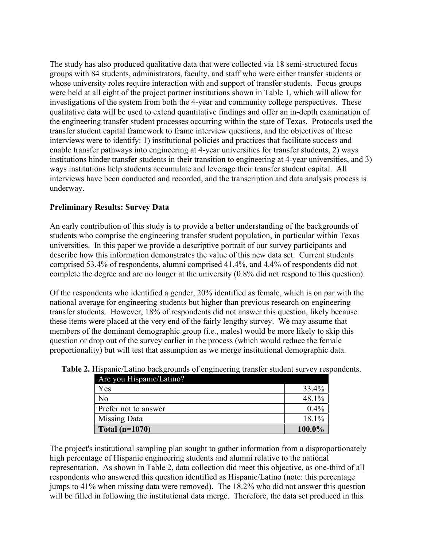The study has also produced qualitative data that were collected via 18 semi-structured focus groups with 84 students, administrators, faculty, and staff who were either transfer students or whose university roles require interaction with and support of transfer students. Focus groups were held at all eight of the project partner institutions shown in Table 1, which will allow for investigations of the system from both the 4-year and community college perspectives. These qualitative data will be used to extend quantitative findings and offer an in-depth examination of the engineering transfer student processes occurring within the state of Texas. Protocols used the transfer student capital framework to frame interview questions, and the objectives of these interviews were to identify: 1) institutional policies and practices that facilitate success and enable transfer pathways into engineering at 4-year universities for transfer students, 2) ways institutions hinder transfer students in their transition to engineering at 4-year universities, and 3) ways institutions help students accumulate and leverage their transfer student capital. All interviews have been conducted and recorded, and the transcription and data analysis process is underway.

# **Preliminary Results: Survey Data**

An early contribution of this study is to provide a better understanding of the backgrounds of students who comprise the engineering transfer student population, in particular within Texas universities. In this paper we provide a descriptive portrait of our survey participants and describe how this information demonstrates the value of this new data set. Current students comprised 53.4% of respondents, alumni comprised 41.4%, and 4.4% of respondents did not complete the degree and are no longer at the university (0.8% did not respond to this question).

Of the respondents who identified a gender, 20% identified as female, which is on par with the national average for engineering students but higher than previous research on engineering transfer students. However, 18% of respondents did not answer this question, likely because these items were placed at the very end of the fairly lengthy survey. We may assume that members of the dominant demographic group (i.e., males) would be more likely to skip this question or drop out of the survey earlier in the process (which would reduce the female proportionality) but will test that assumption as we merge institutional demographic data.

| Are you Hispanic/Latino? |           |
|--------------------------|-----------|
| Yes                      | 33.4%     |
| N <sub>0</sub>           | 48.1%     |
| Prefer not to answer     | $0.4\%$   |
| Missing Data             | 18.1%     |
| Total $(n=1070)$         | $100.0\%$ |

**Table 2.** Hispanic/Latino backgrounds of engineering transfer student survey respondents.

The project's institutional sampling plan sought to gather information from a disproportionately high percentage of Hispanic engineering students and alumni relative to the national representation. As shown in Table 2, data collection did meet this objective, as one-third of all respondents who answered this question identified as Hispanic/Latino (note: this percentage jumps to 41% when missing data were removed). The 18.2% who did not answer this question will be filled in following the institutional data merge. Therefore, the data set produced in this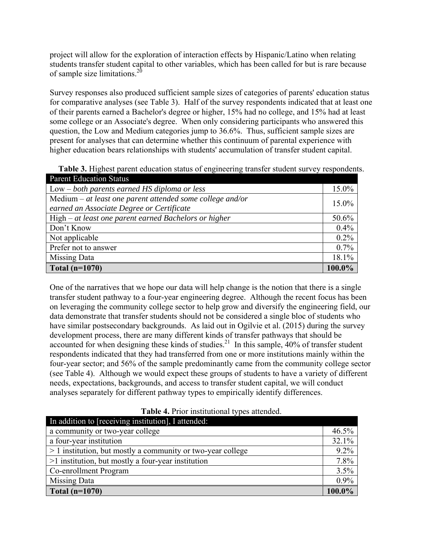project will allow for the exploration of interaction effects by Hispanic/Latino when relating students transfer student capital to other variables, which has been called for but is rare because of sample size limitations. $^{20}$ 

Survey responses also produced sufficient sample sizes of categories of parents' education status for comparative analyses (see Table 3). Half of the survey respondents indicated that at least one of their parents earned a Bachelor's degree or higher, 15% had no college, and 15% had at least some college or an Associate's degree. When only considering participants who answered this question, the Low and Medium categories jump to 36.6%. Thus, sufficient sample sizes are present for analyses that can determine whether this continuum of parental experience with higher education bears relationships with students' accumulation of transfer student capital.

**Table 3.** Highest parent education status of engineering transfer student survey respondents. Parent Education Status

| 1 arent Baucanon Dutta                                      |         |
|-------------------------------------------------------------|---------|
| $Low - both parents earned HS diploma or less$              | 15.0%   |
| Medium $-$ at least one parent attended some college and/or |         |
| earned an Associate Degree or Certificate                   | 15.0%   |
| $High-at least one parent earned Bachelors or higher$       |         |
| Don't Know                                                  |         |
| Not applicable                                              | 0.2%    |
| Prefer not to answer                                        | $0.7\%$ |
| <b>Missing Data</b>                                         | 18.1%   |
| Total $(n=1070)$                                            | 100.0%  |

One of the narratives that we hope our data will help change is the notion that there is a single transfer student pathway to a four-year engineering degree. Although the recent focus has been on leveraging the community college sector to help grow and diversify the engineering field, our data demonstrate that transfer students should not be considered a single bloc of students who have similar postsecondary backgrounds. As laid out in Ogilvie et al. (2015) during the survey development process, there are many different kinds of transfer pathways that should be accounted for when designing these kinds of studies.<sup>21</sup> In this sample,  $40\%$  of transfer student respondents indicated that they had transferred from one or more institutions mainly within the four-year sector; and 56% of the sample predominantly came from the community college sector (see Table 4). Although we would expect these groups of students to have a variety of different needs, expectations, backgrounds, and access to transfer student capital, we will conduct analyses separately for different pathway types to empirically identify differences.

| In addition to [receiving institution], I attended:           |        |  |
|---------------------------------------------------------------|--------|--|
| a community or two-year college                               | 46.5%  |  |
| a four-year institution                                       | 32.1%  |  |
| $> 1$ institution, but mostly a community or two-year college |        |  |
| $>1$ institution, but mostly a four-year institution          |        |  |
| Co-enrollment Program                                         |        |  |
| Missing Data                                                  |        |  |
| Total $(n=1070)$                                              | 100.0% |  |

**Table 4.** Prior institutional types attended.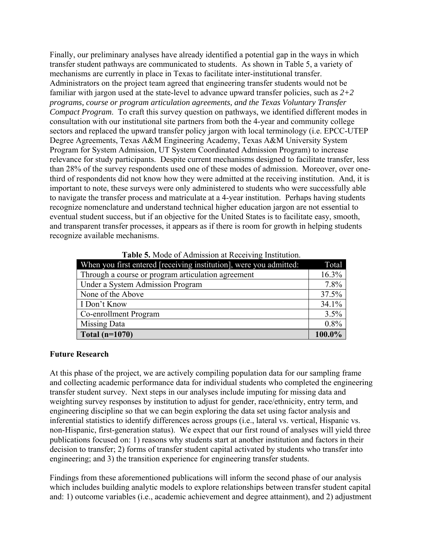Finally, our preliminary analyses have already identified a potential gap in the ways in which transfer student pathways are communicated to students. As shown in Table 5, a variety of mechanisms are currently in place in Texas to facilitate inter-institutional transfer. Administrators on the project team agreed that engineering transfer students would not be familiar with jargon used at the state-level to advance upward transfer policies, such as *2+2 programs, course or program articulation agreements, and the Texas Voluntary Transfer Compact Program*. To craft this survey question on pathways, we identified different modes in consultation with our institutional site partners from both the 4-year and community college sectors and replaced the upward transfer policy jargon with local terminology (i.e. EPCC-UTEP Degree Agreements, Texas A&M Engineering Academy, Texas A&M University System Program for System Admission, UT System Coordinated Admission Program) to increase relevance for study participants. Despite current mechanisms designed to facilitate transfer, less than 28% of the survey respondents used one of these modes of admission. Moreover, over onethird of respondents did not know how they were admitted at the receiving institution. And, it is important to note, these surveys were only administered to students who were successfully able to navigate the transfer process and matriculate at a 4-year institution. Perhaps having students recognize nomenclature and understand technical higher education jargon are not essential to eventual student success, but if an objective for the United States is to facilitate easy, smooth, and transparent transfer processes, it appears as if there is room for growth in helping students recognize available mechanisms.

| When you first entered [receiving institution], were you admitted: |        |
|--------------------------------------------------------------------|--------|
| Through a course or program articulation agreement                 |        |
| Under a System Admission Program                                   | 7.8%   |
| None of the Above                                                  |        |
| I Don't Know                                                       | 34.1%  |
| Co-enrollment Program                                              |        |
| <b>Missing Data</b>                                                |        |
| Total $(n=1070)$                                                   | 100.0% |

**Table 5.** Mode of Admission at Receiving Institution.

### **Future Research**

At this phase of the project, we are actively compiling population data for our sampling frame and collecting academic performance data for individual students who completed the engineering transfer student survey. Next steps in our analyses include imputing for missing data and weighting survey responses by institution to adjust for gender, race/ethnicity, entry term, and engineering discipline so that we can begin exploring the data set using factor analysis and inferential statistics to identify differences across groups (i.e., lateral vs. vertical, Hispanic vs. non-Hispanic, first-generation status). We expect that our first round of analyses will yield three publications focused on: 1) reasons why students start at another institution and factors in their decision to transfer; 2) forms of transfer student capital activated by students who transfer into engineering; and 3) the transition experience for engineering transfer students.

Findings from these aforementioned publications will inform the second phase of our analysis which includes building analytic models to explore relationships between transfer student capital and: 1) outcome variables (i.e., academic achievement and degree attainment), and 2) adjustment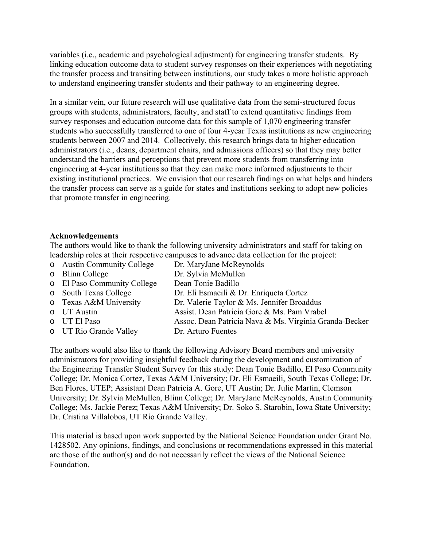variables (i.e., academic and psychological adjustment) for engineering transfer students. By linking education outcome data to student survey responses on their experiences with negotiating the transfer process and transiting between institutions, our study takes a more holistic approach to understand engineering transfer students and their pathway to an engineering degree.

In a similar vein, our future research will use qualitative data from the semi-structured focus groups with students, administrators, faculty, and staff to extend quantitative findings from survey responses and education outcome data for this sample of 1,070 engineering transfer students who successfully transferred to one of four 4-year Texas institutions as new engineering students between 2007 and 2014. Collectively, this research brings data to higher education administrators (i.e., deans, department chairs, and admissions officers) so that they may better understand the barriers and perceptions that prevent more students from transferring into engineering at 4-year institutions so that they can make more informed adjustments to their existing institutional practices. We envision that our research findings on what helps and hinders the transfer process can serve as a guide for states and institutions seeking to adopt new policies that promote transfer in engineering.

### **Acknowledgements**

The authors would like to thank the following university administrators and staff for taking on leadership roles at their respective campuses to advance data collection for the project:

| o Austin Community College  | Dr. MaryJane McReynolds                                |
|-----------------------------|--------------------------------------------------------|
| o Blinn College             | Dr. Sylvia McMullen                                    |
| o El Paso Community College | Dean Tonie Badillo                                     |
| o South Texas College       | Dr. Eli Esmaeili & Dr. Enriqueta Cortez                |
| o Texas A&M University      | Dr. Valerie Taylor & Ms. Jennifer Broaddus             |
| o UT Austin                 | Assist. Dean Patricia Gore & Ms. Pam Vrabel            |
| o UT El Paso                | Assoc. Dean Patricia Nava & Ms. Virginia Granda-Becker |
| o UT Rio Grande Valley      | Dr. Arturo Fuentes                                     |
|                             |                                                        |

The authors would also like to thank the following Advisory Board members and university administrators for providing insightful feedback during the development and customization of the Engineering Transfer Student Survey for this study: Dean Tonie Badillo, El Paso Community College; Dr. Monica Cortez, Texas A&M University; Dr. Eli Esmaeili, South Texas College; Dr. Ben Flores, UTEP; Assistant Dean Patricia A. Gore, UT Austin; Dr. Julie Martin, Clemson University; Dr. Sylvia McMullen, Blinn College; Dr. MaryJane McReynolds, Austin Community College; Ms. Jackie Perez; Texas A&M University; Dr. Soko S. Starobin, Iowa State University; Dr. Cristina Villalobos, UT Rio Grande Valley.

This material is based upon work supported by the National Science Foundation under Grant No. 1428502. Any opinions, findings, and conclusions or recommendations expressed in this material are those of the author(s) and do not necessarily reflect the views of the National Science Foundation.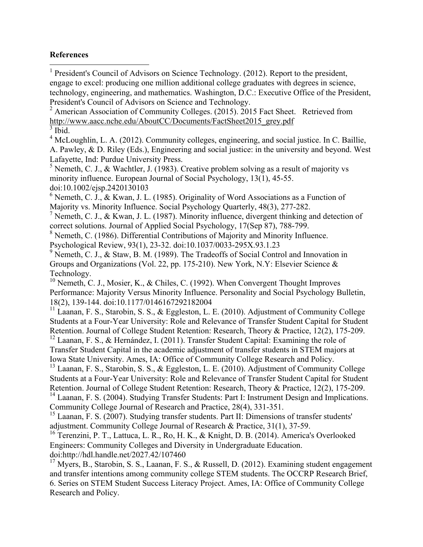# **References**

 <sup>1</sup> President's Council of Advisors on Science Technology. (2012). Report to the president, engage to excel: producing one million additional college graduates with degrees in science, technology, engineering, and mathematics. Washington, D.C.: Executive Office of the President, President's Council of Advisors on Science and Technology.

<sup>2</sup> American Association of Community Colleges. (2015). 2015 Fact Sheet. Retrieved from http://www.aacc.nche.edu/AboutCC/Documents/FactSheet2015\_grey.pdf  $3$  Ibid.

<sup>4</sup> McLoughlin, L. A. (2012). Community colleges, engineering, and social justice. In C. Baillie, A. Pawley, & D. Riley (Eds.), Engineering and social justice: in the university and beyond. West Lafayette, Ind: Purdue University Press.

<sup>5</sup> Nemeth, C. J., & Wachtler, J. (1983). Creative problem solving as a result of majority vs minority influence. European Journal of Social Psychology, 13(1), 45-55. doi:10.1002/ejsp.2420130103

 $6$  Nemeth, C. J., & Kwan, J. L. (1985). Originality of Word Associations as a Function of Majority vs. Minority Influence. Social Psychology Quarterly, 48(3), 277-282.

<sup>7</sup> Nemeth, C. J., & Kwan, J. L. (1987). Minority influence, divergent thinking and detection of correct solutions. Journal of Applied Social Psychology, 17(Sep 87), 788-799.

<sup>8</sup> Nemeth, C. (1986). Differential Contributions of Majority and Minority Influence. Psychological Review, 93(1), 23-32. doi:10.1037/0033-295X.93.1.23

<sup>9</sup> Nemeth, C. J., & Staw, B. M. (1989). The Tradeoffs of Social Control and Innovation in Groups and Organizations (Vol. 22, pp. 175-210). New York, N.Y: Elsevier Science & Technology.

<sup>10</sup> Nemeth, C. J., Mosier, K., & Chiles, C. (1992). When Convergent Thought Improves Performance: Majority Versus Minority Influence. Personality and Social Psychology Bulletin, 18(2), 139-144. doi:10.1177/0146167292182004

<sup>11</sup> Laanan, F. S., Starobin, S. S., & Eggleston, L. E. (2010). Adjustment of Community College Students at a Four-Year University: Role and Relevance of Transfer Student Capital for Student Retention. Journal of College Student Retention: Research, Theory & Practice, 12(2), 175-209.

<sup>12</sup> Laanan, F. S., & Hernández, I. (2011). Transfer Student Capital: Examining the role of Transfer Student Capital in the academic adjustment of transfer students in STEM majors at Iowa State University. Ames, IA: Office of Community College Research and Policy.

<sup>13</sup> Laanan, F. S., Starobin, S. S., & Eggleston, L. E. (2010). Adjustment of Community College Students at a Four-Year University: Role and Relevance of Transfer Student Capital for Student Retention. Journal of College Student Retention: Research, Theory & Practice, 12(2), 175-209.

<sup>14</sup> Laanan, F. S. (2004). Studying Transfer Students: Part I: Instrument Design and Implications. Community College Journal of Research and Practice, 28(4), 331-351.

<sup>15</sup> Laanan, F. S. (2007). Studying transfer students. Part II: Dimensions of transfer students' adjustment. Community College Journal of Research & Practice, 31(1), 37-59.

<sup>16</sup> Terenzini, P. T., Lattuca, L. R., Ro, H. K., & Knight, D. B. (2014). America's Overlooked Engineers: Community Colleges and Diversity in Undergraduate Education. doi:http://hdl.handle.net/2027.42/107460

 $17$  Myers, B., Starobin, S. S., Laanan, F. S., & Russell, D. (2012). Examining student engagement and transfer intentions among community college STEM students. The OCCRP Research Brief, 6. Series on STEM Student Success Literacy Project. Ames, IA: Office of Community College Research and Policy.